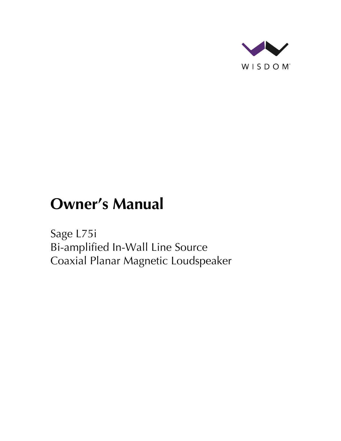

# **Owner's Manual**

Sage L75i Bi-amplified In-Wall Line Source Coaxial Planar Magnetic Loudspeaker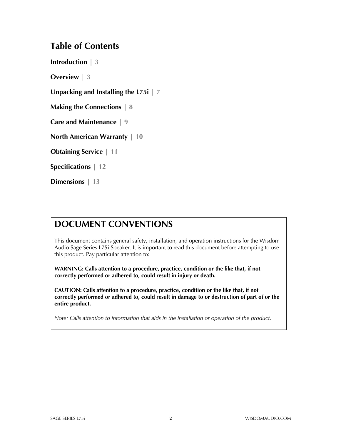## **Table of Contents**

**Introduction | 3**

**Overview | 3**

**Unpacking and Installing the L75i | 7**

**Making the Connections | 8**

**Care and Maintenance | 9**

**North American Warranty | 10**

**Obtaining Service | 11**

**Specifications | 12**

**Dimensions | 13**

# **DOCUMENT CONVENTIONS**

This document contains general safety, installation, and operation instructions for the Wisdom Audio Sage Series L75i Speaker. It is important to read this document before attempting to use this product. Pay particular attention to:

**WARNING: Calls attention to a procedure, practice, condition or the like that, if not correctly performed or adhered to, could result in injury or death.** 

**CAUTION: Calls attention to a procedure, practice, condition or the like that, if not correctly performed or adhered to, could result in damage to or destruction of part of or the entire product.** 

*Note: Calls attention to information that aids in the installation or operation of the product.*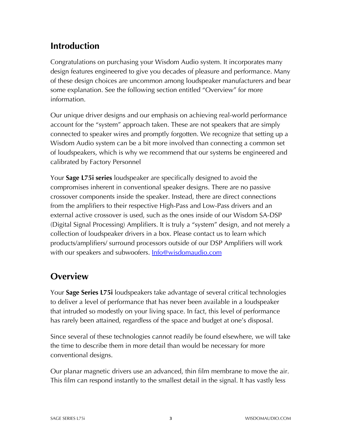# **Introduction**

Congratulations on purchasing your Wisdom Audio system. It incorporates many design features engineered to give you decades of pleasure and performance. Many of these design choices are uncommon among loudspeaker manufacturers and bear some explanation. See the following section entitled "Overview" for more information.

Our unique driver designs and our emphasis on achieving real-world performance account for the "system" approach taken. These are not speakers that are simply connected to speaker wires and promptly forgotten. We recognize that setting up a Wisdom Audio system can be a bit more involved than connecting a common set of loudspeakers, which is why we recommend that our systems be engineered and calibrated by Factory Personnel

Your **Sage L75i series** loudspeaker are specifically designed to avoid the compromises inherent in conventional speaker designs. There are no passive crossover components inside the speaker. Instead, there are direct connections from the amplifiers to their respective High-Pass and Low-Pass drivers and an external active crossover is used, such as the ones inside of our Wisdom SA-DSP (Digital Signal Processing) Amplifiers. It is truly a "system" design, and not merely a collection of loudspeaker drivers in a box. Please contact us to learn which products/amplifiers/ surround processors outside of our DSP Amplifiers will work with our speakers and subwoofers. **Info@wisdomaudio.com** 

# **Overview**

Your **Sage Series L75i** loudspeakers take advantage of several critical technologies to deliver a level of performance that has never been available in a loudspeaker that intruded so modestly on your living space. In fact, this level of performance has rarely been attained, regardless of the space and budget at one's disposal.

Since several of these technologies cannot readily be found elsewhere, we will take the time to describe them in more detail than would be necessary for more conventional designs.

Our planar magnetic drivers use an advanced, thin film membrane to move the air. This film can respond instantly to the smallest detail in the signal. It has vastly less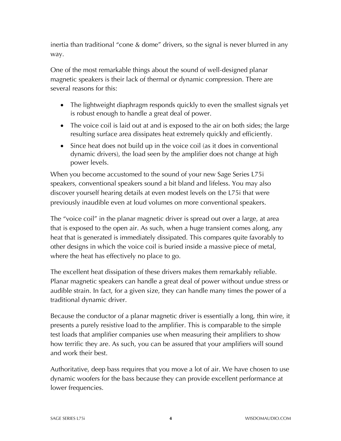inertia than traditional "cone & dome" drivers, so the signal is never blurred in any way.

One of the most remarkable things about the sound of well-designed planar magnetic speakers is their lack of thermal or dynamic compression. There are several reasons for this:

- The lightweight diaphragm responds quickly to even the smallest signals yet is robust enough to handle a great deal of power.
- The voice coil is laid out at and is exposed to the air on both sides; the large resulting surface area dissipates heat extremely quickly and efficiently.
- Since heat does not build up in the voice coil (as it does in conventional dynamic drivers), the load seen by the amplifier does not change at high power levels.

When you become accustomed to the sound of your new Sage Series L75i speakers, conventional speakers sound a bit bland and lifeless. You may also discover yourself hearing details at even modest levels on the L75i that were previously inaudible even at loud volumes on more conventional speakers.

The "voice coil" in the planar magnetic driver is spread out over a large, at area that is exposed to the open air. As such, when a huge transient comes along, any heat that is generated is immediately dissipated. This compares quite favorably to other designs in which the voice coil is buried inside a massive piece of metal, where the heat has effectively no place to go.

The excellent heat dissipation of these drivers makes them remarkably reliable. Planar magnetic speakers can handle a great deal of power without undue stress or audible strain. In fact, for a given size, they can handle many times the power of a traditional dynamic driver.

Because the conductor of a planar magnetic driver is essentially a long, thin wire, it presents a purely resistive load to the amplifier. This is comparable to the simple test loads that amplifier companies use when measuring their amplifiers to show how terrific they are. As such, you can be assured that your amplifiers will sound and work their best.

Authoritative, deep bass requires that you move a lot of air. We have chosen to use dynamic woofers for the bass because they can provide excellent performance at lower frequencies.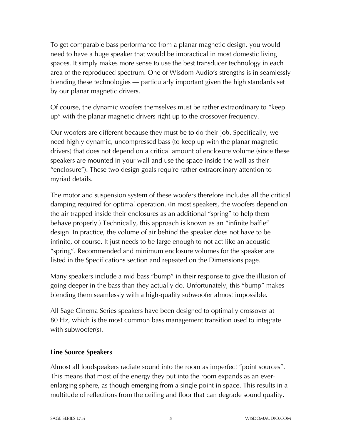To get comparable bass performance from a planar magnetic design, you would need to have a huge speaker that would be impractical in most domestic living spaces. It simply makes more sense to use the best transducer technology in each area of the reproduced spectrum. One of Wisdom Audio's strengths is in seamlessly blending these technologies — particularly important given the high standards set by our planar magnetic drivers.

Of course, the dynamic woofers themselves must be rather extraordinary to "keep up" with the planar magnetic drivers right up to the crossover frequency.

Our woofers are different because they must be to do their job. Specifically, we need highly dynamic, uncompressed bass (to keep up with the planar magnetic drivers) that does not depend on a critical amount of enclosure volume (since these speakers are mounted in your wall and use the space inside the wall as their "enclosure"). These two design goals require rather extraordinary attention to myriad details.

The motor and suspension system of these woofers therefore includes all the critical damping required for optimal operation. (In most speakers, the woofers depend on the air trapped inside their enclosures as an additional "spring" to help them behave properly.) Technically, this approach is known as an "infinite baffle" design. In practice, the volume of air behind the speaker does not have to be infinite, of course. It just needs to be large enough to not act like an acoustic "spring". Recommended and minimum enclosure volumes for the speaker are listed in the Specifications section and repeated on the Dimensions page.

Many speakers include a mid-bass "bump" in their response to give the illusion of going deeper in the bass than they actually do. Unfortunately, this "bump" makes blending them seamlessly with a high-quality subwoofer almost impossible.

All Sage Cinema Series speakers have been designed to optimally crossover at 80 Hz, which is the most common bass management transition used to integrate with subwoofer(s).

#### **Line Source Speakers**

Almost all loudspeakers radiate sound into the room as imperfect "point sources". This means that most of the energy they put into the room expands as an everenlarging sphere, as though emerging from a single point in space. This results in a multitude of reflections from the ceiling and floor that can degrade sound quality.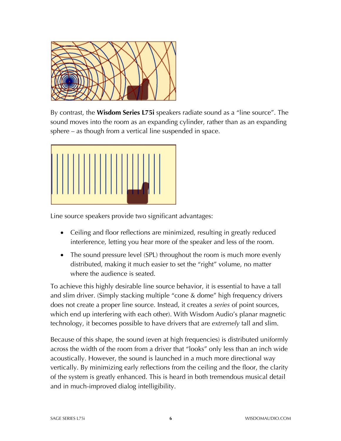

By contrast, the **Wisdom Series L75i** speakers radiate sound as a "line source". The sound moves into the room as an expanding cylinder, rather than as an expanding sphere – as though from a vertical line suspended in space.



Line source speakers provide two significant advantages:

- Ceiling and floor reflections are minimized, resulting in greatly reduced interference, letting you hear more of the speaker and less of the room.
- The sound pressure level (SPL) throughout the room is much more evenly distributed, making it much easier to set the "right" volume, no matter where the audience is seated.

To achieve this highly desirable line source behavior, it is essential to have a tall and slim driver. (Simply stacking multiple "cone & dome" high frequency drivers does not create a proper line source. Instead, it creates a *series* of point sources, which end up interfering with each other). With Wisdom Audio's planar magnetic technology, it becomes possible to have drivers that are *extremely* tall and slim.

Because of this shape, the sound (even at high frequencies) is distributed uniformly across the width of the room from a driver that "looks" only less than an inch wide acoustically. However, the sound is launched in a much more directional way vertically. By minimizing early reflections from the ceiling and the floor, the clarity of the system is greatly enhanced. This is heard in both tremendous musical detail and in much-improved dialog intelligibility.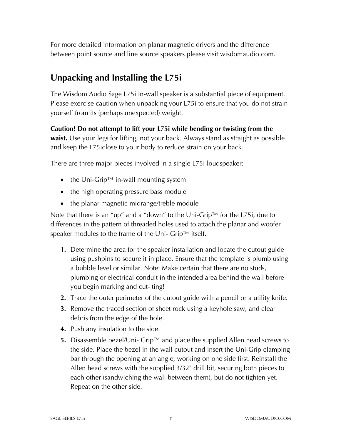For more detailed information on planar magnetic drivers and the difference between point source and line source speakers please visit wisdomaudio.com.

# **Unpacking and Installing the L75i**

The Wisdom Audio Sage L75i in-wall speaker is a substantial piece of equipment. Please exercise caution when unpacking your L75i to ensure that you do not strain yourself from its (perhaps unexpected) weight.

**Caution! Do not attempt to lift your L75i while bending or twisting from the waist.** Use your legs for lifting, not your back. Always stand as straight as possible and keep the L75iclose to your body to reduce strain on your back.

There are three major pieces involved in a single L75i loudspeaker:

- the Uni-Grip™ in-wall mounting system
- the high operating pressure bass module
- the planar magnetic midrange/treble module

Note that there is an "up" and a "down" to the Uni-Grip™ for the L75i, due to differences in the pattern of threaded holes used to attach the planar and woofer speaker modules to the frame of the Uni- Grip™ itself.

- **1.** Determine the area for the speaker installation and locate the cutout guide using pushpins to secure it in place. Ensure that the template is plumb using a bubble level or similar. Note: Make certain that there are no studs, plumbing or electrical conduit in the intended area behind the wall before you begin marking and cut- ting!
- **2.** Trace the outer perimeter of the cutout guide with a pencil or a utility knife.
- **3.** Remove the traced section of sheet rock using a keyhole saw, and clear debris from the edge of the hole.
- **4.** Push any insulation to the side.
- **5.** Disassemble bezel/Uni- Grip™ and place the supplied Allen head screws to the side. Place the bezel in the wall cutout and insert the Uni-Grip clamping bar through the opening at an angle, working on one side first. Reinstall the Allen head screws with the supplied 3/32" drill bit, securing both pieces to each other (sandwiching the wall between them), but do not tighten yet. Repeat on the other side.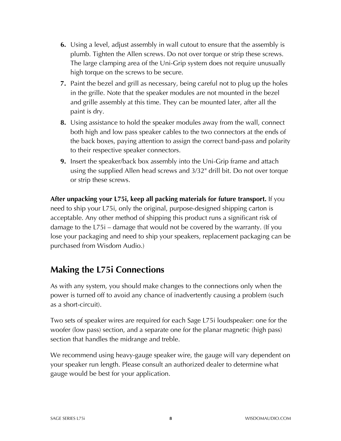- **6.** Using a level, adjust assembly in wall cutout to ensure that the assembly is plumb. Tighten the Allen screws. Do not over torque or strip these screws. The large clamping area of the Uni-Grip system does not require unusually high torque on the screws to be secure.
- **7.** Paint the bezel and grill as necessary, being careful not to plug up the holes in the grille. Note that the speaker modules are not mounted in the bezel and grille assembly at this time. They can be mounted later, after all the paint is dry.
- **8.** Using assistance to hold the speaker modules away from the wall, connect both high and low pass speaker cables to the two connectors at the ends of the back boxes, paying attention to assign the correct band-pass and polarity to their respective speaker connectors.
- **9.** Insert the speaker/back box assembly into the Uni-Grip frame and attach using the supplied Allen head screws and 3/32" drill bit. Do not over torque or strip these screws.

**After unpacking your L75i, keep all packing materials for future transport.** If you need to ship your L75i, only the original, purpose-designed shipping carton is acceptable. Any other method of shipping this product runs a significant risk of damage to the L75i – damage that would not be covered by the warranty. (If you lose your packaging and need to ship your speakers, replacement packaging can be purchased from Wisdom Audio.)

# **Making the L75i Connections**

As with any system, you should make changes to the connections only when the power is turned off to avoid any chance of inadvertently causing a problem (such as a short-circuit).

Two sets of speaker wires are required for each Sage L75i loudspeaker: one for the woofer (low pass) section, and a separate one for the planar magnetic (high pass) section that handles the midrange and treble.

We recommend using heavy-gauge speaker wire, the gauge will vary dependent on your speaker run length. Please consult an authorized dealer to determine what gauge would be best for your application.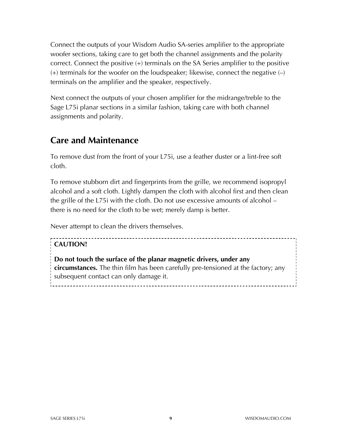Connect the outputs of your Wisdom Audio SA-series amplifier to the appropriate woofer sections, taking care to get both the channel assignments and the polarity correct. Connect the positive (+) terminals on the SA Series amplifier to the positive  $(+)$  terminals for the woofer on the loudspeaker; likewise, connect the negative  $(-)$ terminals on the amplifier and the speaker, respectively.

Next connect the outputs of your chosen amplifier for the midrange/treble to the Sage L75i planar sections in a similar fashion, taking care with both channel assignments and polarity.

## **Care and Maintenance**

To remove dust from the front of your L75i, use a feather duster or a lint-free soft cloth.

To remove stubborn dirt and fingerprints from the grille, we recommend isopropyl alcohol and a soft cloth. Lightly dampen the cloth with alcohol first and then clean the grille of the L75i with the cloth. Do not use excessive amounts of alcohol – there is no need for the cloth to be wet; merely damp is better.

Never attempt to clean the drivers themselves.

### **CAUTION!**

**Do not touch the surface of the planar magnetic drivers, under any circumstances.** The thin film has been carefully pre-tensioned at the factory; any subsequent contact can only damage it.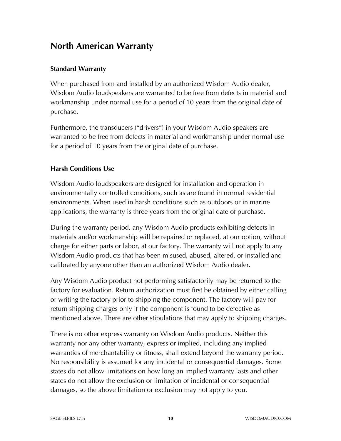## **North American Warranty**

#### **Standard Warranty**

When purchased from and installed by an authorized Wisdom Audio dealer, Wisdom Audio loudspeakers are warranted to be free from defects in material and workmanship under normal use for a period of 10 years from the original date of purchase.

Furthermore, the transducers ("drivers") in your Wisdom Audio speakers are warranted to be free from defects in material and workmanship under normal use for a period of 10 years from the original date of purchase.

#### **Harsh Conditions Use**

Wisdom Audio loudspeakers are designed for installation and operation in environmentally controlled conditions, such as are found in normal residential environments. When used in harsh conditions such as outdoors or in marine applications, the warranty is three years from the original date of purchase.

During the warranty period, any Wisdom Audio products exhibiting defects in materials and/or workmanship will be repaired or replaced, at our option, without charge for either parts or labor, at our factory. The warranty will not apply to any Wisdom Audio products that has been misused, abused, altered, or installed and calibrated by anyone other than an authorized Wisdom Audio dealer.

Any Wisdom Audio product not performing satisfactorily may be returned to the factory for evaluation. Return authorization must first be obtained by either calling or writing the factory prior to shipping the component. The factory will pay for return shipping charges only if the component is found to be defective as mentioned above. There are other stipulations that may apply to shipping charges.

There is no other express warranty on Wisdom Audio products. Neither this warranty nor any other warranty, express or implied, including any implied warranties of merchantability or fitness, shall extend beyond the warranty period. No responsibility is assumed for any incidental or consequential damages. Some states do not allow limitations on how long an implied warranty lasts and other states do not allow the exclusion or limitation of incidental or consequential damages, so the above limitation or exclusion may not apply to you.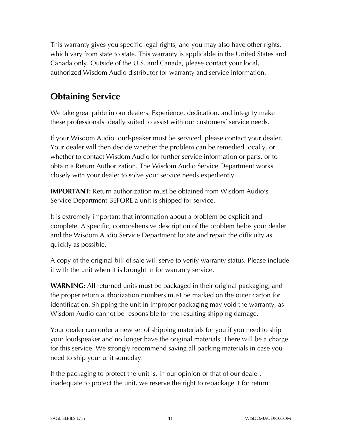This warranty gives you specific legal rights, and you may also have other rights, which vary from state to state. This warranty is applicable in the United States and Canada only. Outside of the U.S. and Canada, please contact your local, authorized Wisdom Audio distributor for warranty and service information.

# **Obtaining Service**

We take great pride in our dealers. Experience, dedication, and integrity make these professionals ideally suited to assist with our customers' service needs.

If your Wisdom Audio loudspeaker must be serviced, please contact your dealer. Your dealer will then decide whether the problem can be remedied locally, or whether to contact Wisdom Audio for further service information or parts, or to obtain a Return Authorization. The Wisdom Audio Service Department works closely with your dealer to solve your service needs expediently.

**IMPORTANT:** Return authorization must be obtained from Wisdom Audio's Service Department BEFORE a unit is shipped for service.

It is extremely important that information about a problem be explicit and complete. A specific, comprehensive description of the problem helps your dealer and the Wisdom Audio Service Department locate and repair the difficulty as quickly as possible.

A copy of the original bill of sale will serve to verify warranty status. Please include it with the unit when it is brought in for warranty service.

**WARNING:** All returned units must be packaged in their original packaging, and the proper return authorization numbers must be marked on the outer carton for identification. Shipping the unit in improper packaging may void the warranty, as Wisdom Audio cannot be responsible for the resulting shipping damage.

Your dealer can order a new set of shipping materials for you if you need to ship your loudspeaker and no longer have the original materials. There will be a charge for this service. We strongly recommend saving all packing materials in case you need to ship your unit someday.

If the packaging to protect the unit is, in our opinion or that of our dealer, inadequate to protect the unit, we reserve the right to repackage it for return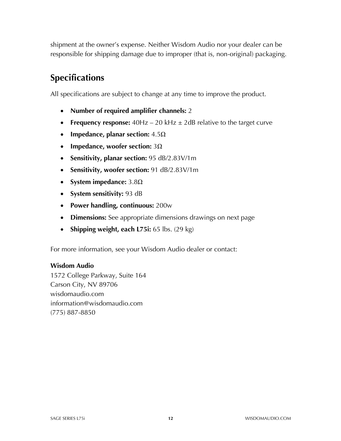shipment at the owner's expense. Neither Wisdom Audio nor your dealer can be responsible for shipping damage due to improper (that is, non-original) packaging.

# **Specifications**

All specifications are subject to change at any time to improve the product.

- **Number of required amplifier channels:** 2
- **Frequency response:** 40Hz 20 kHz  $\pm$  2dB relative to the target curve
- **Impedance, planar section:** 4.5Ω
- **Impedance, woofer section:** 3Ω
- **Sensitivity, planar section:** 95 dB/2.83V/1m
- **Sensitivity, woofer section:** 91 dB/2.83V/1m
- **System impedance:** 3.8Ω
- **System sensitivity:** 93 dB
- **Power handling, continuous:** 200w
- **Dimensions:** See appropriate dimensions drawings on next page
- **Shipping weight, each L75i:** 65 lbs. (29 kg)

For more information, see your Wisdom Audio dealer or contact:

#### **Wisdom Audio**

1572 College Parkway, Suite 164 Carson City, NV 89706 wisdomaudio.com information@wisdomaudio.com (775) 887-8850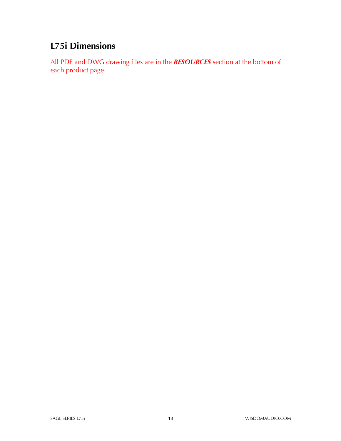# **L75i Dimensions**

All PDF and DWG drawing files are in the *RESOURCES* section at the bottom of each product page.